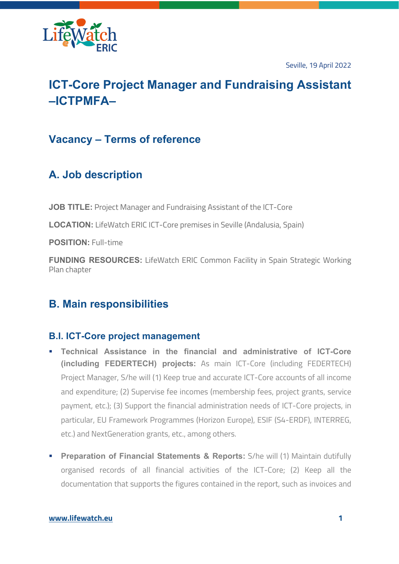

Seville, 19 April 2022

# **ICT-Core Project Manager and Fundraising Assistant –ICTPMFA–**

### **Vacancy – Terms of reference**

## **A. Job description**

**JOB TITLE:** Project Manager and Fundraising Assistant of the ICT-Core

**LOCATION:** LifeWatch ERIC ICT-Core premises in Seville (Andalusia, Spain)

**POSITION:** Full-time

**FUNDING RESOURCES:** LifeWatch ERIC Common Facility in Spain Strategic Working Plan chapter

### **B. Main responsibilities**

### **B.I. ICT-Core project management**

- § **Technical Assistance in the financial and administrative of ICT-Core (including FEDERTECH) projects:** As main ICT-Core (including FEDERTECH) Project Manager, S/he will (1) Keep true and accurate ICT-Core accounts of all income and expenditure; (2) Supervise fee incomes (membership fees, project grants, service payment, etc.); (3) Support the financial administration needs of ICT-Core projects, in particular, EU Framework Programmes (Horizon Europe), ESIF (S4-ERDF), INTERREG, etc.) and NextGeneration grants, etc., among others.
- **Preparation of Financial Statements & Reports:** S/he will (1) Maintain dutifully organised records of all financial activities of the ICT-Core; (2) Keep all the documentation that supports the figures contained in the report, such as invoices and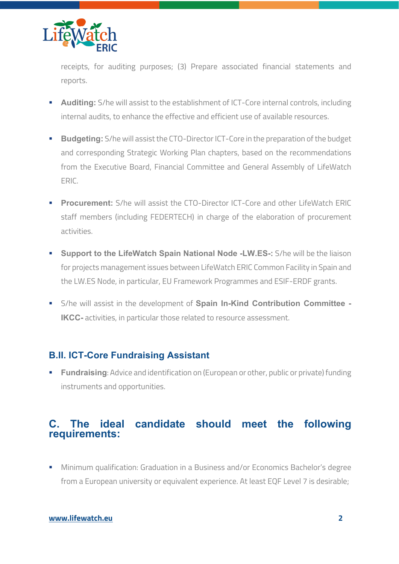

receipts, for auditing purposes; (3) Prepare associated financial statements and reports.

- **Auditing:** S/he will assist to the establishment of ICT-Core internal controls, including internal audits, to enhance the effective and efficient use of available resources.
- § **Budgeting:** S/he will assist the CTO-Director ICT-Core in the preparation of the budget and corresponding Strategic Working Plan chapters, based on the recommendations from the Executive Board, Financial Committee and General Assembly of LifeWatch ERIC.
- **Procurement:** S/he will assist the CTO-Director ICT-Core and other LifeWatch ERIC staff members (including FEDERTECH) in charge of the elaboration of procurement activities.
- **Support to the LifeWatch Spain National Node -LW.ES-:** S/he will be the liaison for projects management issues between LifeWatch ERIC Common Facility in Spain and the LW.ES Node, in particular, EU Framework Programmes and ESIF-ERDF grants.
- § S/he will assist in the development of **Spain In-Kind Contribution Committee - IKCC**- activities, in particular those related to resource assessment.

### **B.II. ICT-Core Fundraising Assistant**

**• Fundraising**: Advice and identification on (European or other, public or private) funding instruments and opportunities.

### **C. The ideal candidate should meet the following requirements:**

■ Minimum qualification: Graduation in a Business and/or Economics Bachelor's degree from a European university or equivalent experience. At least EQF Level 7 is desirable;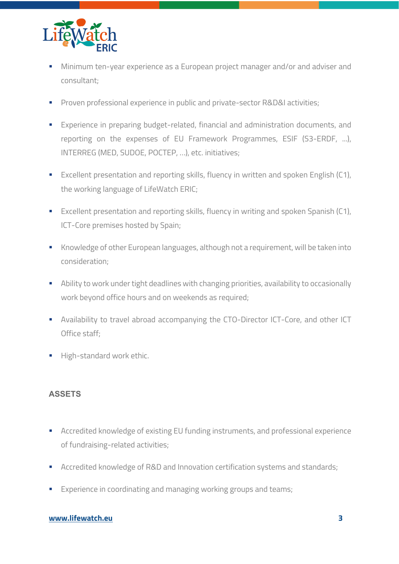

- **Minimum ten-year experience as a European project manager and/or and adviser and** consultant;
- **•** Proven professional experience in public and private-sector R&D&I activities;
- **Experience in preparing budget-related, financial and administration documents, and** reporting on the expenses of EU Framework Programmes, ESIF (S3-ERDF, ...), INTERREG (MED, SUDOE, POCTEP, …), etc. initiatives;
- Excellent presentation and reporting skills, fluency in written and spoken English (C1), the working language of LifeWatch ERIC;
- Excellent presentation and reporting skills, fluency in writing and spoken Spanish (C1), ICT-Core premises hosted by Spain;
- Knowledge of other European languages, although not a requirement, will be taken into consideration;
- **Ability to work under tight deadlines with changing priorities, availability to occasionally** work beyond office hours and on weekends as required;
- **•** Availability to travel abroad accompanying the CTO-Director ICT-Core, and other ICT Office staff;
- **■** High-standard work ethic.

#### **ASSETS**

- Accredited knowledge of existing EU funding instruments, and professional experience of fundraising-related activities;
- Accredited knowledge of R&D and Innovation certification systems and standards;
- Experience in coordinating and managing working groups and teams;

#### **www.lifewatch.eu 3**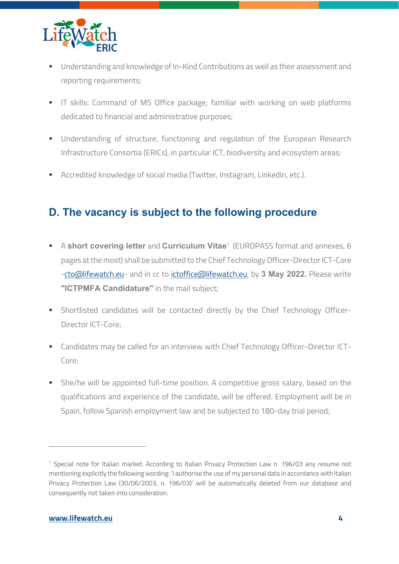

- Understanding and knowledge of In-Kind Contributions as well as their assessment and reporting requirements;
- **IT skills: Command of MS Office package; familiar with working on web platforms** dedicated to financial and administrative purposes;
- § Understanding of structure, functioning and regulation of the European Research Infrastructure Consortia (ERICs), in particular ICT, biodiversity and ecosystem areas;
- Accredited knowledge of social media (Twitter, Instagram, LinkedIn, etc.).

## **D. The vacancy is subject to the following procedure**

- **EX A short covering letter and Curriculum Vitae<sup>1</sup> (EUROPASS format and annexes, 6** pages at the most) shall be submitted to the Chief Technology Officer-Director ICT-Core -cto@lifewatch.eu- and in cc to ictoffice@lifewatch.eu, by **3 May 2022.** Please write **"ICTPMFA Candidature"** in the mail subject;
- § Shortlisted candidates will be contacted directly by the Chief Technology Officer-Director ICT-Core;
- Candidates may be called for an interview with Chief Technology Officer-Director ICT-Core;
- § She/he will be appointed full-time position. A competitive gross salary, based on the qualifications and experience of the candidate, will be offered. Employment will be in Spain, follow Spanish employment law and be subjected to 180-day trial period;

<sup>&</sup>lt;sup>1</sup> Special note for Italian market: According to Italian Privacy Protection Law n. 196/03 any resume not mentioning explicitly the following wording: 'I authorise the use of my personal data in accordance with Italian Privacy Protection Law (30/06/2003, n. 196/03)' will be automatically deleted from our database and consequently not taken into consideration.